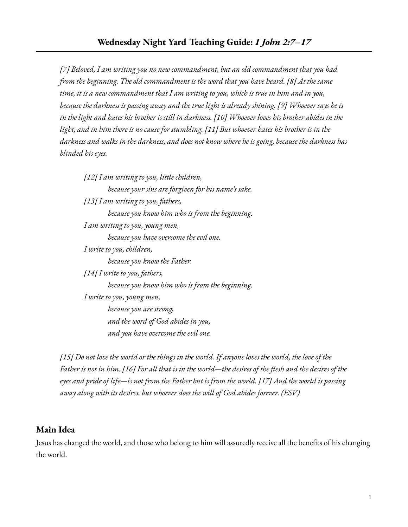*[7] Beloved, I am writing you no new commandment, but an old commandment that you had from the beginning. The old commandment is the word that you have heard. [8] At the same* time, it is a new commandment that I am writing to you, which is true in him and in you, *because the darkness is passing away and the true light is already shining. [9] Whoever says he is* in the light and hates his brother is still in darkness. [10] Whoever loves his brother abides in the light, and in him there is no cause for stumbling. [11] But whoever hates his brother is in the *darkness and walks in the darkness, and does not know where he is going, because the darkness has blinded his eyes.*

*[12] I am writing to you, little children, because your sins are forgiven for his name's sake. [13] I am writing to you, fathers, because you know him who is from the beginning. I am writing to you, young men, because you have overcome the evil one. I write to you, children, because you know the Father. [14] I write to you, fathers, because you know him who is from the beginning. I write to you, young men, because you are strong, and the word of God abides in you, and you have overcome the evil one.*

[15] Do not love the world or the things in the world. If anyone loves the world, the love of the Father is not in him. [16] For all that is in the world—the desires of the flesh and the desires of the eyes and pride of life—is not from the Father but is from the world. [17] And the world is passing *away along with its desires, but whoever does the will of God abides forever. (ESV)*

## **Main Idea**

Jesus has changed the world, and those who belong to him will assuredly receive all the benefits of his changing the world.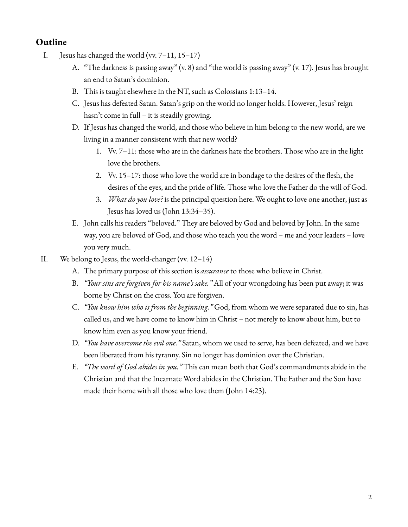## **Outline**

- I. Jesus has changed the world (vv. 7–11, 15–17)
	- A. "The darkness is passing away" (v. 8) and "the world is passing away" (v. 17). Jesus has brought an end to Satan's dominion.
	- B. This is taught elsewhere in the NT, such as Colossians 1:13–14.
	- C. Jesus has defeated Satan. Satan's grip on the world no longer holds. However, Jesus' reign hasn't come in full – it is steadily growing.
	- D. If Jesus has changed the world, and those who believe in him belong to the new world, are we living in a manner consistent with that new world?
		- 1. Vv. 7–11: those who are in the darkness hate the brothers. Those who are in the light love the brothers.
		- 2. Vv. 15–17: those who love the world are in bondage to the desires of the flesh, the desires of the eyes, and the pride of life. Those who love the Father do the will of God.
		- 3. *What do you love?* is the principal question here. We ought to love one another, just as Jesus has loved us (John 13:34–35).
	- E. John calls his readers "beloved." They are beloved by God and beloved by John. In the same way, you are beloved of God, and those who teach you the word – me and your leaders – love you very much.
- II. We belong to Jesus, the world-changer (vv. 12–14)
	- A. The primary purpose of this section is *assurance* to those who believe in Christ.
	- B. *"Your sins are forgiven for his name's sake."* All of your wrongdoing has been put away; it was borne by Christ on the cross. You are forgiven.
	- C. *"You know him who is from the beginning."* God, from whom we were separated due to sin, has called us, and we have come to know him in Christ – not merely to know about him, but to know him even as you know your friend.
	- D. *"You have overcome the evil one."* Satan, whom we used to serve, has been defeated, and we have been liberated from his tyranny. Sin no longer has dominion over the Christian.
	- E. *"The word of God abides in you."* This can mean both that God's commandments abide in the Christian and that the Incarnate Word abides in the Christian. The Father and the Son have made their home with all those who love them (John 14:23).